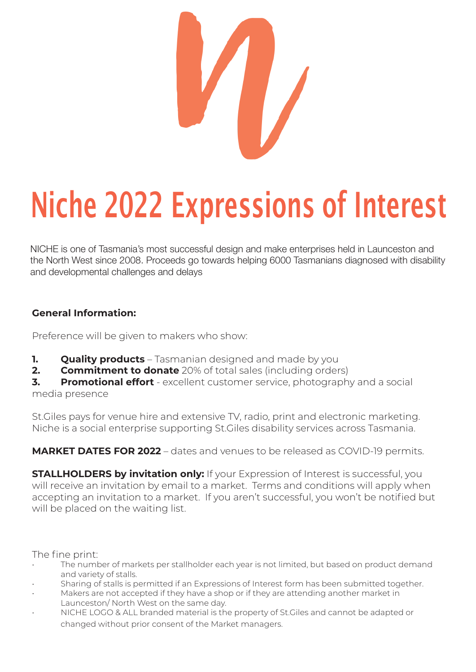

# Niche 2022 Expressions of Interest

NICHE is one of Tasmania's most successful design and make enterprises held in Launceston and the North West since 2008. Proceeds go towards helping 6000 Tasmanians diagnosed with disability and developmental challenges and delays

### **General Information:**

Preference will be given to makers who show:

- **1. Quality products** Tasmanian designed and made by you
- **2. Commitment to donate** 20% of total sales (including orders)

**3. Promotional effort** - excellent customer service, photography and a social media presence

St.Giles pays for venue hire and extensive TV, radio, print and electronic marketing. Niche is a social enterprise supporting St.Giles disability services across Tasmania.

**MARKET DATES FOR 2022** – dates and venues to be released as COVID-19 permits.

**STALLHOLDERS by invitation only:** If your Expression of Interest is successful, you will receive an invitation by email to a market. Terms and conditions will apply when accepting an invitation to a market. If you aren't successful, you won't be notified but will be placed on the waiting list.

The fine print:

- The number of markets per stallholder each year is not limited, but based on product demand and variety of stalls.
- Sharing of stalls is permitted if an Expressions of Interest form has been submitted together.
- Makers are not accepted if they have a shop or if they are attending another market in Launceston/ North West on the same day.
- NICHE LOGO & ALL branded material is the property of St.Giles and cannot be adapted or changed without prior consent of the Market managers.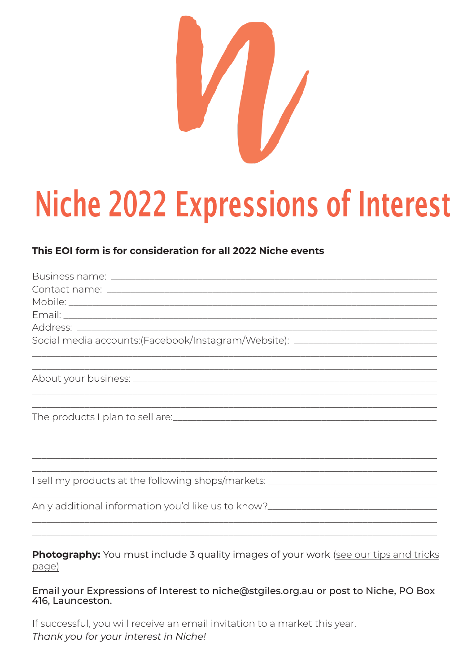

## **Niche 2022 Expressions of Interest**

### This EQI form is for consideration for all 2022 Niche events

| Social media accounts:(Facebook/Instagram/Website): ____________________________ |
|----------------------------------------------------------------------------------|
|                                                                                  |
|                                                                                  |
|                                                                                  |
|                                                                                  |
|                                                                                  |
|                                                                                  |
|                                                                                  |
|                                                                                  |
|                                                                                  |
| I sell my products at the following shops/markets: _____________________________ |
|                                                                                  |
| An y additional information you'd like us to know?______________________________ |
|                                                                                  |

Photography: You must include 3 quality images of your work (see our tips and tricks page)

Email your Expressions of Interest to niche@stgiles.org.au or post to Niche, PO Box 416. Launceston.

If successful, you will receive an email invitation to a market this year. Thank you for your interest in Niche!